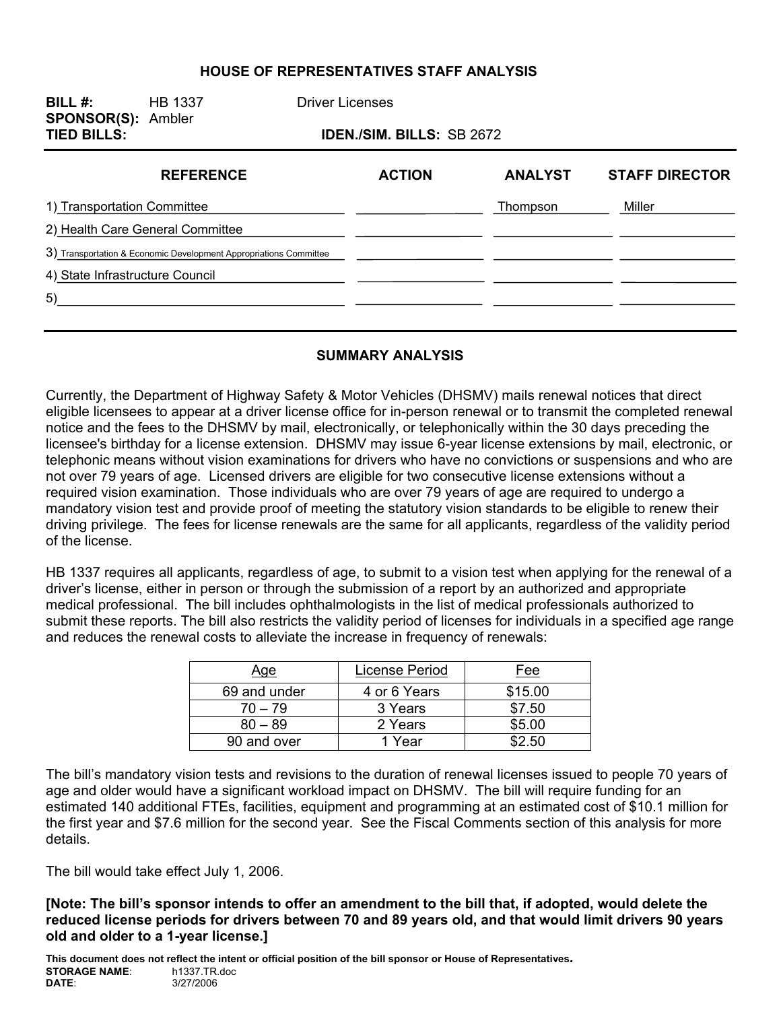#### **HOUSE OF REPRESENTATIVES STAFF ANALYSIS**

| BILL $#$ :<br><b>SPONSOR(S): Ambler</b> | <b>HB 1337</b>                                                    | <b>Driver Licenses</b> |               |                |                       |  |  |
|-----------------------------------------|-------------------------------------------------------------------|------------------------|---------------|----------------|-----------------------|--|--|
| <b>TIED BILLS:</b>                      | <b>IDEN./SIM. BILLS: SB 2672</b>                                  |                        |               |                |                       |  |  |
|                                         | <b>REFERENCE</b>                                                  |                        | <b>ACTION</b> | <b>ANALYST</b> | <b>STAFF DIRECTOR</b> |  |  |
| 1) Transportation Committee             |                                                                   |                        |               | Thompson       | Miller                |  |  |
|                                         | 2) Health Care General Committee                                  |                        |               |                |                       |  |  |
|                                         | 3) Transportation & Economic Development Appropriations Committee |                        |               |                |                       |  |  |
| 4) State Infrastructure Council         |                                                                   |                        |               |                |                       |  |  |
| 5)                                      |                                                                   |                        |               |                |                       |  |  |
|                                         |                                                                   |                        |               |                |                       |  |  |

#### **SUMMARY ANALYSIS**

Currently, the Department of Highway Safety & Motor Vehicles (DHSMV) mails renewal notices that direct eligible licensees to appear at a driver license office for in-person renewal or to transmit the completed renewal notice and the fees to the DHSMV by mail, electronically, or telephonically within the 30 days preceding the licensee's birthday for a license extension. DHSMV may issue 6-year license extensions by mail, electronic, or telephonic means without vision examinations for drivers who have no convictions or suspensions and who are not over 79 years of age. Licensed drivers are eligible for two consecutive license extensions without a required vision examination. Those individuals who are over 79 years of age are required to undergo a mandatory vision test and provide proof of meeting the statutory vision standards to be eligible to renew their driving privilege. The fees for license renewals are the same for all applicants, regardless of the validity period of the license.

HB 1337 requires all applicants, regardless of age, to submit to a vision test when applying for the renewal of a driver's license, either in person or through the submission of a report by an authorized and appropriate medical professional. The bill includes ophthalmologists in the list of medical professionals authorized to submit these reports. The bill also restricts the validity period of licenses for individuals in a specified age range and reduces the renewal costs to alleviate the increase in frequency of renewals:

| <u>Age</u>   | License Period | Fee     |
|--------------|----------------|---------|
| 69 and under | 4 or 6 Years   | \$15.00 |
| $70 - 79$    | 3 Years        | \$7.50  |
| $80 - 89$    | 2 Years        | \$5.00  |
| 90 and over  | 1 Year         | \$2.50  |

The bill's mandatory vision tests and revisions to the duration of renewal licenses issued to people 70 years of age and older would have a significant workload impact on DHSMV. The bill will require funding for an estimated 140 additional FTEs, facilities, equipment and programming at an estimated cost of \$10.1 million for the first year and \$7.6 million for the second year. See the Fiscal Comments section of this analysis for more details.

The bill would take effect July 1, 2006.

**[Note: The bill's sponsor intends to offer an amendment to the bill that, if adopted, would delete the reduced license periods for drivers between 70 and 89 years old, and that would limit drivers 90 years old and older to a 1-year license.]** 

**This document does not reflect the intent or official position of the bill sponsor or House of Representatives***.* **STORAGE NAME:**<br>DATE: **DATE**: 3/27/2006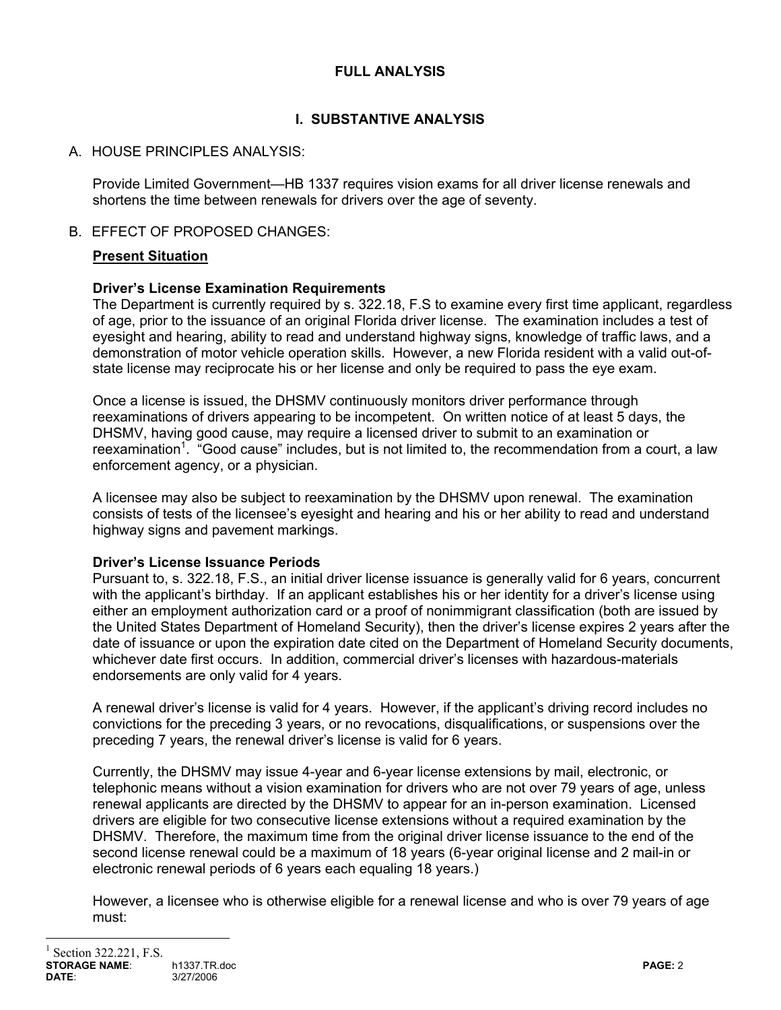### **FULL ANALYSIS**

# **I. SUBSTANTIVE ANALYSIS**

## A. HOUSE PRINCIPLES ANALYSIS:

Provide Limited Government—HB 1337 requires vision exams for all driver license renewals and shortens the time between renewals for drivers over the age of seventy.

### B. EFFECT OF PROPOSED CHANGES:

## **Present Situation**

## **Driver's License Examination Requirements**

The Department is currently required by s. 322.18, F.S to examine every first time applicant, regardless of age, prior to the issuance of an original Florida driver license. The examination includes a test of eyesight and hearing, ability to read and understand highway signs, knowledge of traffic laws, and a demonstration of motor vehicle operation skills. However, a new Florida resident with a valid out-ofstate license may reciprocate his or her license and only be required to pass the eye exam.

Once a license is issued, the DHSMV continuously monitors driver performance through reexaminations of drivers appearing to be incompetent. On written notice of at least 5 days, the DHSMV, having good cause, may require a licensed driver to submit to an examination or reexamination<sup>1</sup>. "Good cause" includes, but is not limited to, the recommendation from a court, a law enforcement agency, or a physician.

A licensee may also be subject to reexamination by the DHSMV upon renewal. The examination consists of tests of the licensee's eyesight and hearing and his or her ability to read and understand highway signs and pavement markings.

### **Driver's License Issuance Periods**

Pursuant to, s. 322.18, F.S., an initial driver license issuance is generally valid for 6 years, concurrent with the applicant's birthday. If an applicant establishes his or her identity for a driver's license using either an employment authorization card or a proof of nonimmigrant classification (both are issued by the United States Department of Homeland Security), then the driver's license expires 2 years after the date of issuance or upon the expiration date cited on the Department of Homeland Security documents, whichever date first occurs. In addition, commercial driver's licenses with hazardous-materials endorsements are only valid for 4 years.

A renewal driver's license is valid for 4 years. However, if the applicant's driving record includes no convictions for the preceding 3 years, or no revocations, disqualifications, or suspensions over the preceding 7 years, the renewal driver's license is valid for 6 years.

Currently, the DHSMV may issue 4-year and 6-year license extensions by mail, electronic, or telephonic means without a vision examination for drivers who are not over 79 years of age, unless renewal applicants are directed by the DHSMV to appear for an in-person examination. Licensed drivers are eligible for two consecutive license extensions without a required examination by the DHSMV. Therefore, the maximum time from the original driver license issuance to the end of the second license renewal could be a maximum of 18 years (6-year original license and 2 mail-in or electronic renewal periods of 6 years each equaling 18 years.)

However, a licensee who is otherwise eligible for a renewal license and who is over 79 years of age must:

 $\overline{a}$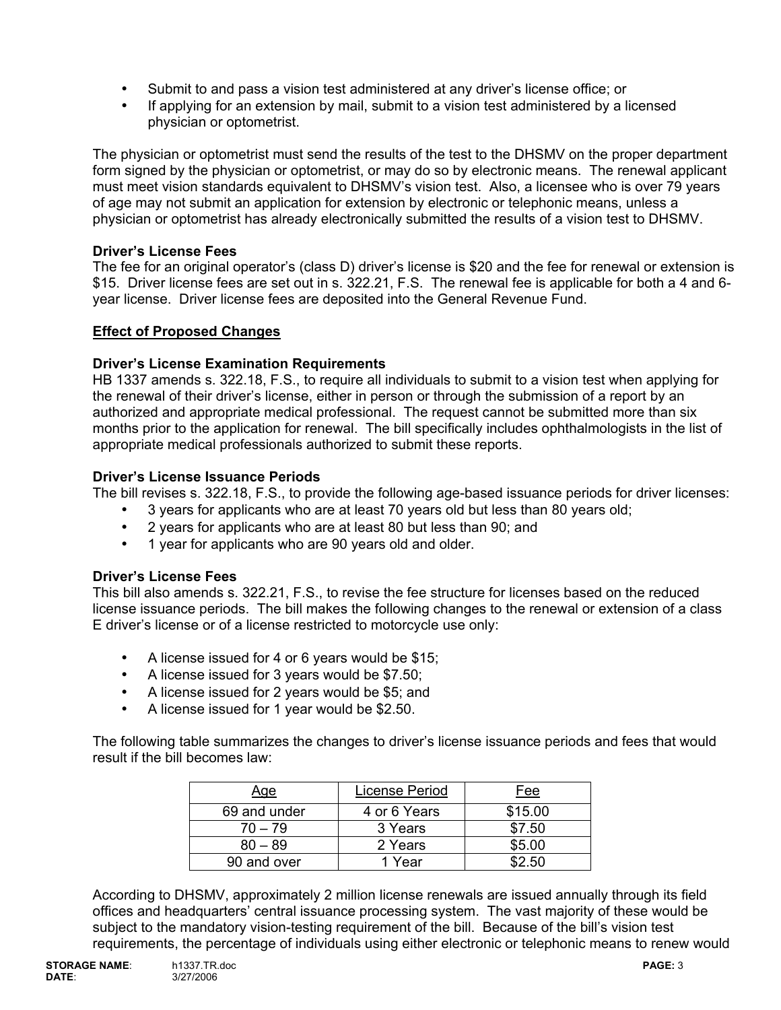- Submit to and pass a vision test administered at any driver's license office; or
- If applying for an extension by mail, submit to a vision test administered by a licensed physician or optometrist.

The physician or optometrist must send the results of the test to the DHSMV on the proper department form signed by the physician or optometrist, or may do so by electronic means. The renewal applicant must meet vision standards equivalent to DHSMV's vision test. Also, a licensee who is over 79 years of age may not submit an application for extension by electronic or telephonic means, unless a physician or optometrist has already electronically submitted the results of a vision test to DHSMV.

### **Driver's License Fees**

The fee for an original operator's (class D) driver's license is \$20 and the fee for renewal or extension is \$15. Driver license fees are set out in s. 322.21, F.S. The renewal fee is applicable for both a 4 and 6 year license. Driver license fees are deposited into the General Revenue Fund.

## **Effect of Proposed Changes**

## **Driver's License Examination Requirements**

HB 1337 amends s. 322.18, F.S., to require all individuals to submit to a vision test when applying for the renewal of their driver's license, either in person or through the submission of a report by an authorized and appropriate medical professional. The request cannot be submitted more than six months prior to the application for renewal. The bill specifically includes ophthalmologists in the list of appropriate medical professionals authorized to submit these reports.

## **Driver's License Issuance Periods**

The bill revises s. 322.18, F.S., to provide the following age-based issuance periods for driver licenses:

- 3 years for applicants who are at least 70 years old but less than 80 years old;
- 2 years for applicants who are at least 80 but less than 90; and
- 1 year for applicants who are 90 years old and older.

### **Driver's License Fees**

This bill also amends s. 322.21, F.S., to revise the fee structure for licenses based on the reduced license issuance periods. The bill makes the following changes to the renewal or extension of a class E driver's license or of a license restricted to motorcycle use only:

- A license issued for 4 or 6 years would be \$15;
- A license issued for 3 years would be \$7.50;
- A license issued for 2 years would be \$5; and
- A license issued for 1 year would be \$2.50.

The following table summarizes the changes to driver's license issuance periods and fees that would result if the bill becomes law:

| Age          | License Period | Fee     |
|--------------|----------------|---------|
| 69 and under | 4 or 6 Years   | \$15.00 |
| $70 - 79$    | 3 Years        | \$7.50  |
| $80 - 89$    | 2 Years        | \$5.00  |
| 90 and over  | 1 Year         | S2.50   |

According to DHSMV, approximately 2 million license renewals are issued annually through its field offices and headquarters' central issuance processing system. The vast majority of these would be subject to the mandatory vision-testing requirement of the bill. Because of the bill's vision test requirements, the percentage of individuals using either electronic or telephonic means to renew would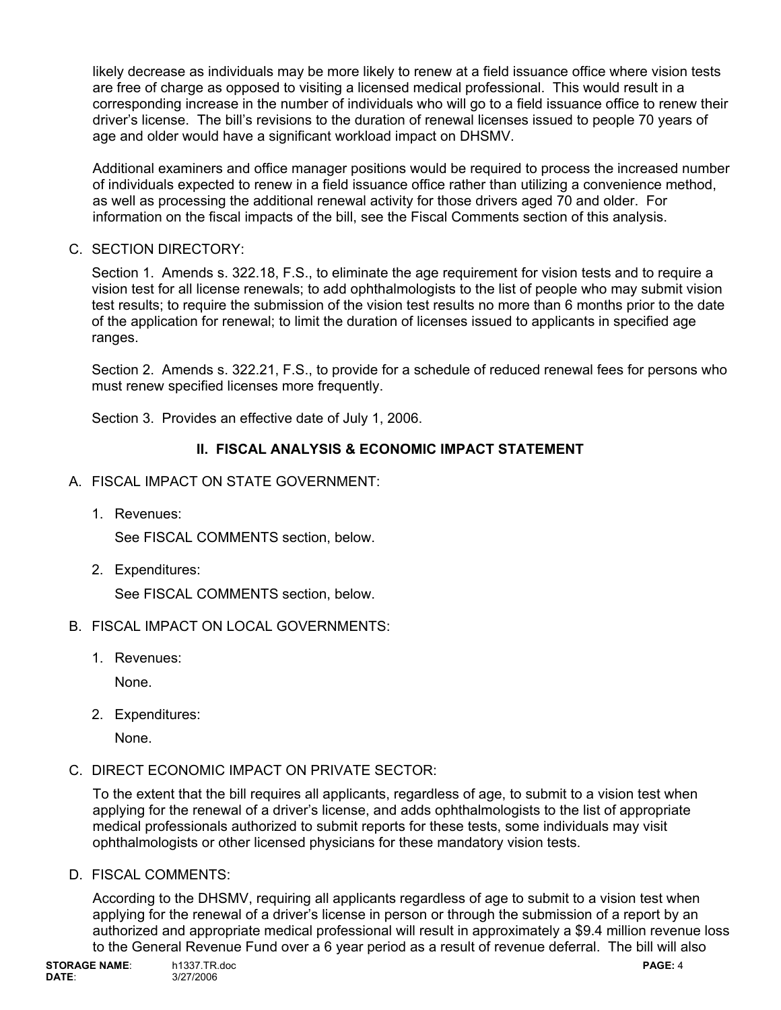likely decrease as individuals may be more likely to renew at a field issuance office where vision tests are free of charge as opposed to visiting a licensed medical professional. This would result in a corresponding increase in the number of individuals who will go to a field issuance office to renew their driver's license. The bill's revisions to the duration of renewal licenses issued to people 70 years of age and older would have a significant workload impact on DHSMV.

Additional examiners and office manager positions would be required to process the increased number of individuals expected to renew in a field issuance office rather than utilizing a convenience method, as well as processing the additional renewal activity for those drivers aged 70 and older. For information on the fiscal impacts of the bill, see the Fiscal Comments section of this analysis.

### C. SECTION DIRECTORY:

Section 1. Amends s. 322.18, F.S., to eliminate the age requirement for vision tests and to require a vision test for all license renewals; to add ophthalmologists to the list of people who may submit vision test results; to require the submission of the vision test results no more than 6 months prior to the date of the application for renewal; to limit the duration of licenses issued to applicants in specified age ranges.

Section 2. Amends s. 322.21, F.S., to provide for a schedule of reduced renewal fees for persons who must renew specified licenses more frequently.

Section 3. Provides an effective date of July 1, 2006.

# **II. FISCAL ANALYSIS & ECONOMIC IMPACT STATEMENT**

- A. FISCAL IMPACT ON STATE GOVERNMENT:
	- 1. Revenues:

See FISCAL COMMENTS section, below.

2. Expenditures:

See FISCAL COMMENTS section, below.

- B. FISCAL IMPACT ON LOCAL GOVERNMENTS:
	- 1. Revenues:

None.

2. Expenditures:

None.

C. DIRECT ECONOMIC IMPACT ON PRIVATE SECTOR:

To the extent that the bill requires all applicants, regardless of age, to submit to a vision test when applying for the renewal of a driver's license, and adds ophthalmologists to the list of appropriate medical professionals authorized to submit reports for these tests, some individuals may visit ophthalmologists or other licensed physicians for these mandatory vision tests.

D. FISCAL COMMENTS:

According to the DHSMV, requiring all applicants regardless of age to submit to a vision test when applying for the renewal of a driver's license in person or through the submission of a report by an authorized and appropriate medical professional will result in approximately a \$9.4 million revenue loss to the General Revenue Fund over a 6 year period as a result of revenue deferral. The bill will also